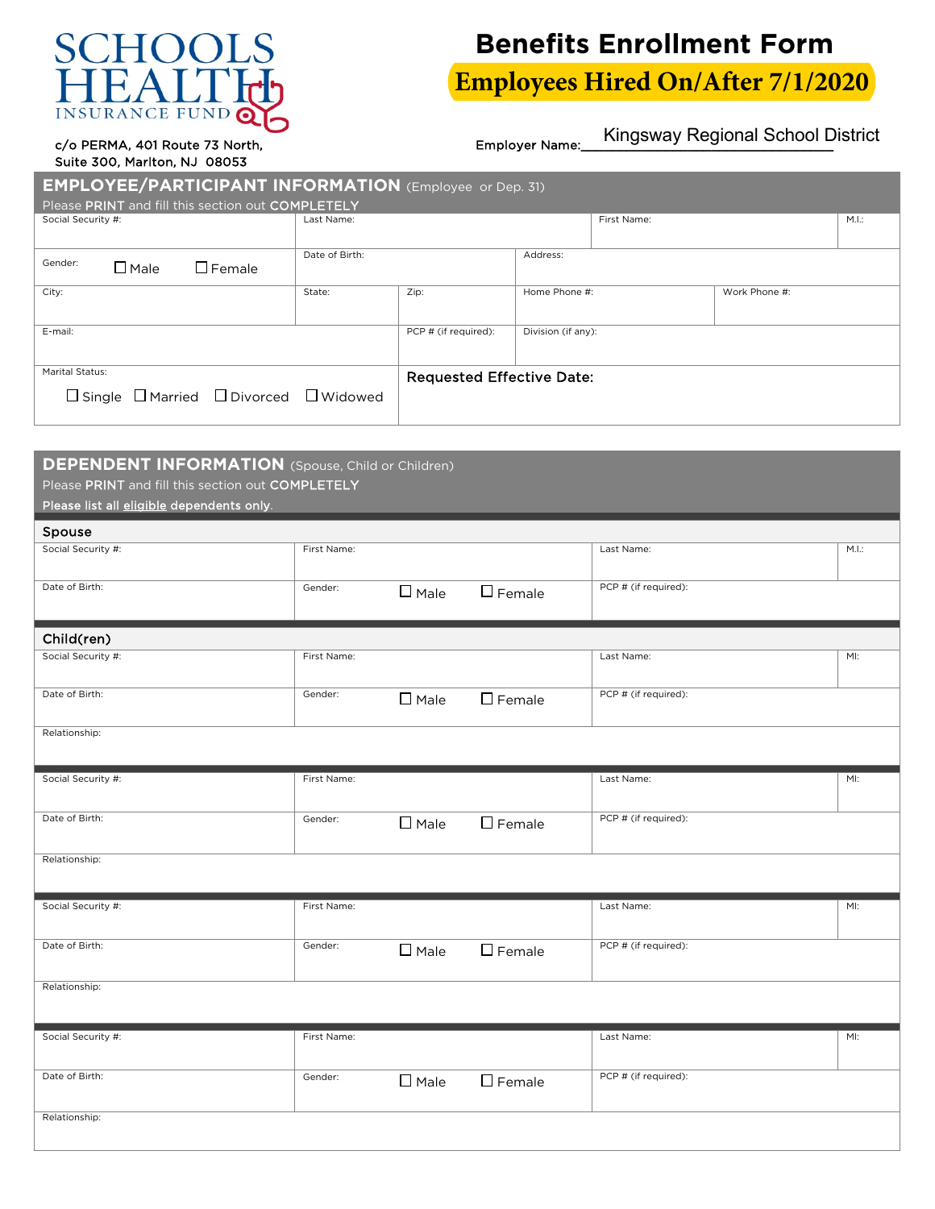## $H()()$ **SURANCE F**

## **Benefits Enrollment Form**

**Employees Hired On/After 7/1/2020**

Kingsway Regional School District

c/o PERMA, 401 Route 73 North, example of the employer Name: Suite 300, Marlton, NJ 08053

| <b>EMPLOYEE/PARTICIPANT INFORMATION</b> (Employee or Dep. 31)                  |                |                                  |                    |             |               |       |  |  |  |  |
|--------------------------------------------------------------------------------|----------------|----------------------------------|--------------------|-------------|---------------|-------|--|--|--|--|
| Please PRINT and fill this section out COMPLETELY                              |                |                                  |                    |             |               |       |  |  |  |  |
| Social Security #:                                                             | Last Name:     |                                  |                    | First Name: |               | M.I.: |  |  |  |  |
| Gender:<br>$\Box$ Male<br>$\Box$ Female                                        | Date of Birth: |                                  | Address:           |             |               |       |  |  |  |  |
| City:                                                                          | State:         | Zip:                             | Home Phone #:      |             | Work Phone #: |       |  |  |  |  |
| E-mail:                                                                        |                | PCP # (if required):             | Division (if any): |             |               |       |  |  |  |  |
| Marital Status:<br>$\Box$ Single $\Box$ Married $\Box$ Divorced $\Box$ Widowed |                | <b>Requested Effective Date:</b> |                    |             |               |       |  |  |  |  |

## **DEPENDENT INFORMATION** (Spouse, Child or Children)

Please PRINT and fill this section out COMPLETELY

Please list all eligible dependents only.

| Spouse             |             |                |                  |                      |       |
|--------------------|-------------|----------------|------------------|----------------------|-------|
| Social Security #: | First Name: |                |                  | Last Name:           | M.I.: |
| Date of Birth:     | Gender:     | $\square$ Male | $\Box$ Female    | PCP # (if required): |       |
| Child(ren)         |             |                |                  |                      |       |
| Social Security #: | First Name: |                |                  | Last Name:           | MI:   |
| Date of Birth:     | Gender:     | $\square$ Male | $\square$ Female | PCP # (if required): |       |
| Relationship:      |             |                |                  |                      |       |
| Social Security #: | First Name: |                |                  | Last Name:           | MI:   |
| Date of Birth:     | Gender:     | $\square$ Male | $\square$ Female | PCP # (if required): |       |
| Relationship:      |             |                |                  |                      |       |
| Social Security #: | First Name: |                |                  | Last Name:           | MI:   |
| Date of Birth:     | Gender:     | $\square$ Male | $\square$ Female | PCP # (if required): |       |
| Relationship:      |             |                |                  |                      |       |
| Social Security #: | First Name: |                |                  | Last Name:           | MI:   |
| Date of Birth:     | Gender:     | $\square$ Male | $\square$ Female | PCP # (if required): |       |
| Relationship:      |             |                |                  |                      |       |